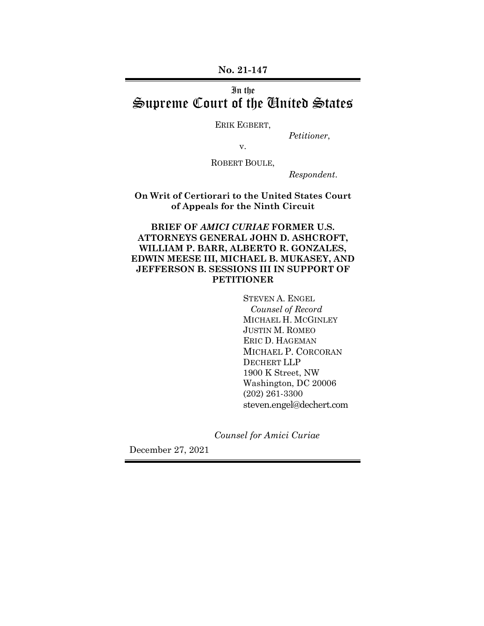**No. 21-147**

# In the Supreme Court of the United States

ERIK EGBERT,

*Petitioner*,

v.

ROBERT BOULE,

*Respondent*.

**On Writ of Certiorari to the United States Court of Appeals for the Ninth Circuit**

**BRIEF OF** *AMICI CURIAE* **FORMER U.S. ATTORNEYS GENERAL JOHN D. ASHCROFT, WILLIAM P. BARR, ALBERTO R. GONZALES, EDWIN MEESE III, MICHAEL B. MUKASEY, AND JEFFERSON B. SESSIONS III IN SUPPORT OF PETITIONER**

> STEVEN A. ENGEL  *Counsel of Record* MICHAEL H. MCGINLEY JUSTIN M. ROMEO ERIC D. HAGEMAN MICHAEL P. CORCORAN DECHERT LLP 1900 K Street, NW Washington, DC 20006 (202) 261-3300 steven.engel@dechert.com

 *Counsel for Amici Curiae* 

December 27, 2021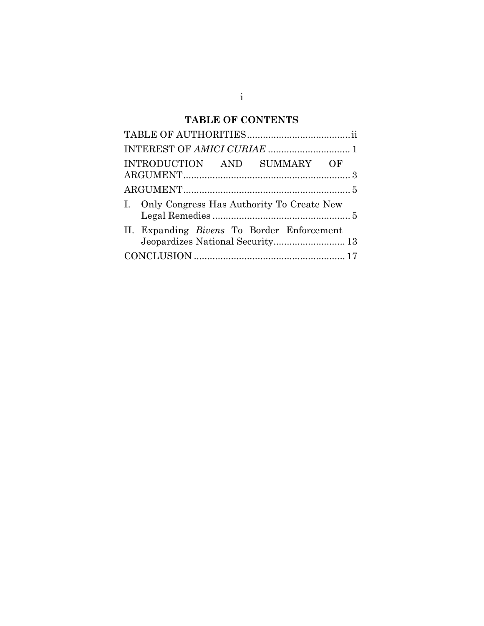# **TABLE OF CONTENTS**

| INTRODUCTION AND SUMMARY OF                       |  |
|---------------------------------------------------|--|
|                                                   |  |
| I. Only Congress Has Authority To Create New      |  |
| II. Expanding <i>Bivens</i> To Border Enforcement |  |
|                                                   |  |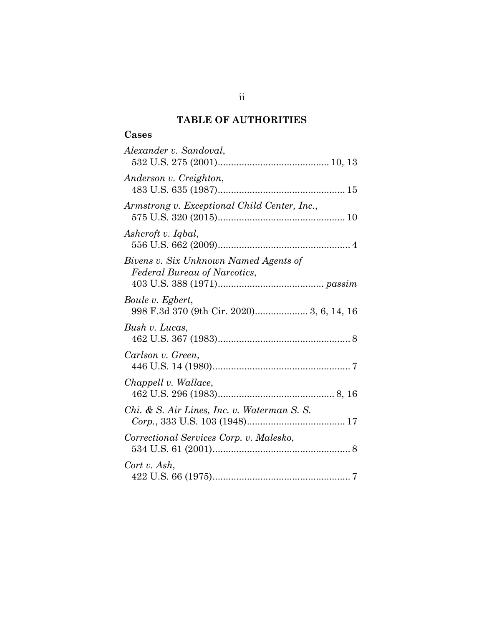## **TABLE OF AUTHORITIES**

# **Cases**

| Alexander v. Sandoval,                                                |
|-----------------------------------------------------------------------|
| Anderson v. Creighton,                                                |
| Armstrong v. Exceptional Child Center, Inc.,                          |
| Ashcroft v. Iqbal,                                                    |
| Bivens v. Six Unknown Named Agents of<br>Federal Bureau of Narcotics, |
| Boule v. Egbert,<br>998 F.3d 370 (9th Cir. 2020) 3, 6, 14, 16         |
| Bush v. Lucas,                                                        |
| Carlson v. Green,                                                     |
| Chappell v. Wallace,                                                  |
| Chi. & S. Air Lines, Inc. v. Waterman S. S.                           |
| Correctional Services Corp. v. Malesko,                               |
| Cort v. Ash,                                                          |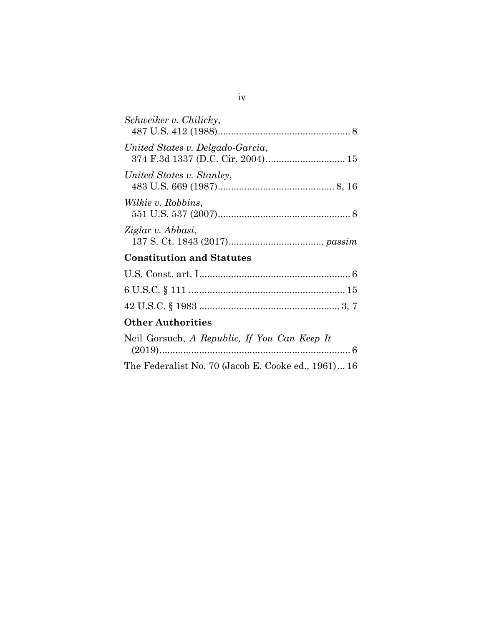| Schweiker v. Chilicky,           |  |  |  |  |
|----------------------------------|--|--|--|--|
| United States v. Delgado-Garcia, |  |  |  |  |
| United States v. Stanley,        |  |  |  |  |
| <i>Wilkie v. Robbins,</i>        |  |  |  |  |
| Ziglar v. Abbasi,                |  |  |  |  |
| <b>Constitution and Statutes</b> |  |  |  |  |

## **Other Authorities**

| Neil Gorsuch, A Republic, If You Can Keep It        |  |  |  |  |
|-----------------------------------------------------|--|--|--|--|
|                                                     |  |  |  |  |
| The Federalist No. 70 (Jacob E. Cooke ed., 1961) 16 |  |  |  |  |

### iv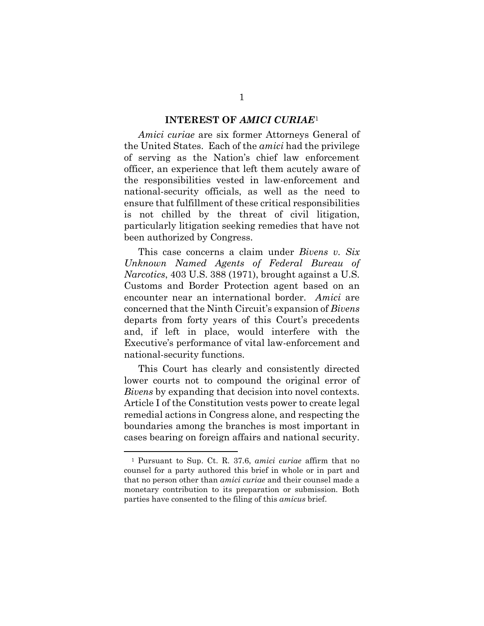#### **INTEREST OF** *AMICI CURIAE*[1](#page-5-0)

*Amici curiae* are six former Attorneys General of the United States. Each of the *amici* had the privilege of serving as the Nation's chief law enforcement officer, an experience that left them acutely aware of the responsibilities vested in law-enforcement and national-security officials, as well as the need to ensure that fulfillment of these critical responsibilities is not chilled by the threat of civil litigation, particularly litigation seeking remedies that have not been authorized by Congress.

This case concerns a claim under *Bivens v. Six Unknown Named Agents of Federal Bureau of Narcotics*, 403 U.S. 388 (1971), brought against a U.S. Customs and Border Protection agent based on an encounter near an international border. *Amici* are concerned that the Ninth Circuit's expansion of *Bivens*  departs from forty years of this Court's precedents and, if left in place, would interfere with the Executive's performance of vital law-enforcement and national-security functions.

This Court has clearly and consistently directed lower courts not to compound the original error of *Bivens* by expanding that decision into novel contexts. Article I of the Constitution vests power to create legal remedial actions in Congress alone, and respecting the boundaries among the branches is most important in cases bearing on foreign affairs and national security.

<span id="page-5-0"></span><sup>1</sup> Pursuant to Sup. Ct. R. 37.6, *amici curiae* affirm that no counsel for a party authored this brief in whole or in part and that no person other than *amici curiae* and their counsel made a monetary contribution to its preparation or submission. Both parties have consented to the filing of this *amicus* brief.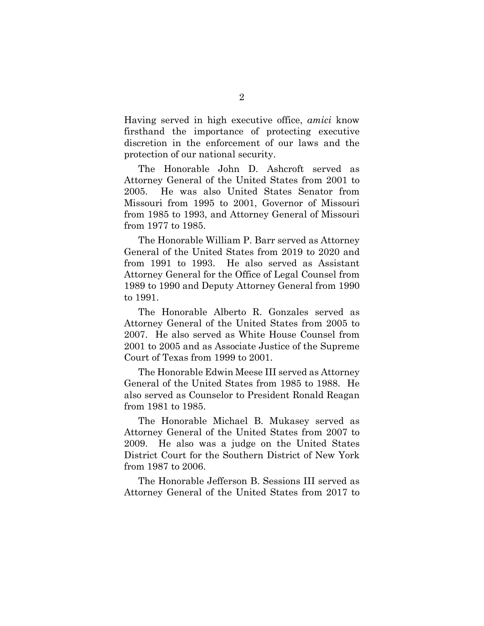Having served in high executive office, *amici* know firsthand the importance of protecting executive discretion in the enforcement of our laws and the protection of our national security.

The Honorable John D. Ashcroft served as Attorney General of the United States from 2001 to 2005. He was also United States Senator from Missouri from 1995 to 2001, Governor of Missouri from 1985 to 1993, and Attorney General of Missouri from 1977 to 1985.

The Honorable William P. Barr served as Attorney General of the United States from 2019 to 2020 and from 1991 to 1993. He also served as Assistant Attorney General for the Office of Legal Counsel from 1989 to 1990 and Deputy Attorney General from 1990 to 1991.

The Honorable Alberto R. Gonzales served as Attorney General of the United States from 2005 to 2007. He also served as White House Counsel from 2001 to 2005 and as Associate Justice of the Supreme Court of Texas from 1999 to 2001.

The Honorable Edwin Meese III served as Attorney General of the United States from 1985 to 1988. He also served as Counselor to President Ronald Reagan from 1981 to 1985.

The Honorable Michael B. Mukasey served as Attorney General of the United States from 2007 to 2009. He also was a judge on the United States District Court for the Southern District of New York from 1987 to 2006.

The Honorable Jefferson B. Sessions III served as Attorney General of the United States from 2017 to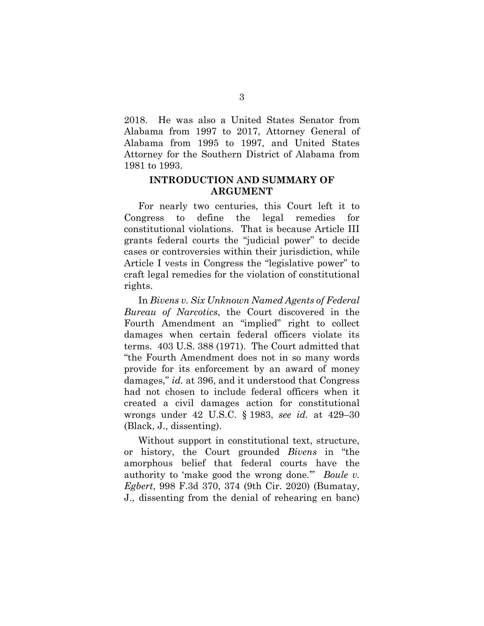2018. He was also a United States Senator from Alabama from 1997 to 2017, Attorney General of Alabama from 1995 to 1997, and United States Attorney for the Southern District of Alabama from 1981 to 1993.

### **INTRODUCTION AND SUMMARY OF ARGUMENT**

For nearly two centuries, this Court left it to Congress to define the legal remedies for constitutional violations. That is because Article III grants federal courts the "judicial power" to decide cases or controversies within their jurisdiction, while Article I vests in Congress the "legislative power" to craft legal remedies for the violation of constitutional rights.

In *Bivens v. Six Unknown Named Agents of Federal Bureau of Narcotics*, the Court discovered in the Fourth Amendment an "implied" right to collect damages when certain federal officers violate its terms. 403 U.S. 388 (1971). The Court admitted that "the Fourth Amendment does not in so many words provide for its enforcement by an award of money damages," *id.* at 396, and it understood that Congress had not chosen to include federal officers when it created a civil damages action for constitutional wrongs under 42 U.S.C. § 1983, *see id.* at 429–30 (Black, J., dissenting).

Without support in constitutional text, structure, or history, the Court grounded *Bivens* in "the amorphous belief that federal courts have the authority to 'make good the wrong done.'" *Boule v. Egbert*, 998 F.3d 370, 374 (9th Cir. 2020) (Bumatay, J., dissenting from the denial of rehearing en banc)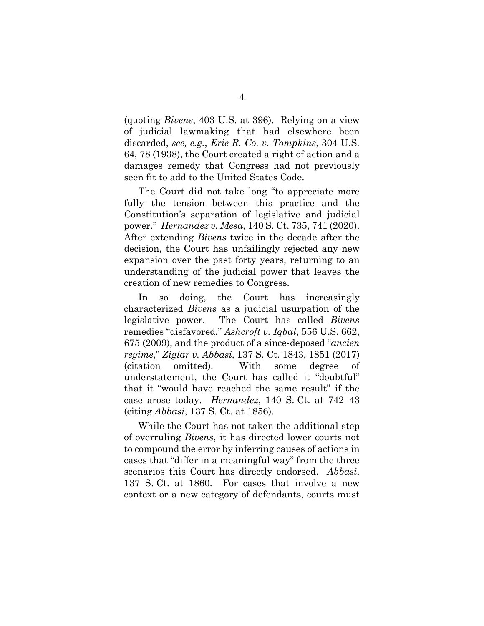(quoting *Bivens*, 403 U.S. at 396). Relying on a view of judicial lawmaking that had elsewhere been discarded, *see, e.g.*, *Erie R. Co. v. Tompkins*, 304 U.S. 64, 78 (1938), the Court created a right of action and a damages remedy that Congress had not previously seen fit to add to the United States Code.

The Court did not take long "to appreciate more fully the tension between this practice and the Constitution's separation of legislative and judicial power." *Hernandez v. Mesa*, 140 S. Ct. 735, 741 (2020). After extending *Bivens* twice in the decade after the decision, the Court has unfailingly rejected any new expansion over the past forty years, returning to an understanding of the judicial power that leaves the creation of new remedies to Congress.

In so doing, the Court has increasingly characterized *Bivens* as a judicial usurpation of the legislative power. The Court has called *Bivens*  remedies "disfavored," *Ashcroft v. Iqbal*, 556 U.S. 662, 675 (2009), and the product of a since-deposed "*ancien regime*," *Ziglar v. Abbasi*, 137 S. Ct. 1843, 1851 (2017) (citation omitted). With some degree of understatement, the Court has called it "doubtful" that it "would have reached the same result" if the case arose today. *Hernandez*, 140 S. Ct. at 742–43 (citing *Abbasi*, 137 S. Ct. at 1856).

While the Court has not taken the additional step of overruling *Bivens*, it has directed lower courts not to compound the error by inferring causes of actions in cases that "differ in a meaningful way" from the three scenarios this Court has directly endorsed. *Abbasi*, 137 S. Ct. at 1860. For cases that involve a new context or a new category of defendants, courts must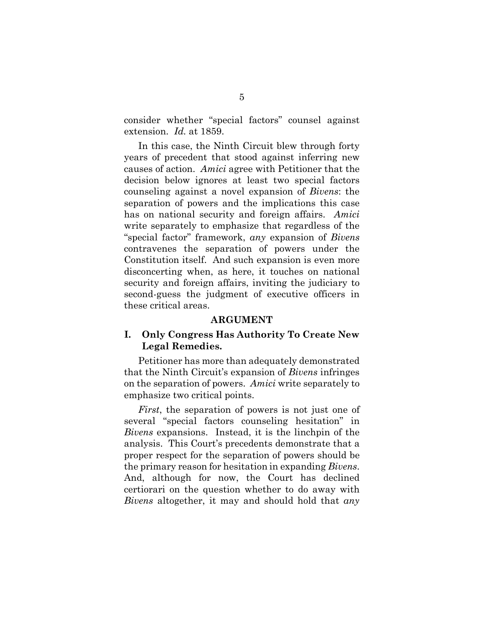consider whether "special factors" counsel against extension. *Id.* at 1859.

In this case, the Ninth Circuit blew through forty years of precedent that stood against inferring new causes of action. *Amici* agree with Petitioner that the decision below ignores at least two special factors counseling against a novel expansion of *Bivens*: the separation of powers and the implications this case has on national security and foreign affairs. *Amici* write separately to emphasize that regardless of the "special factor" framework, *any* expansion of *Bivens* contravenes the separation of powers under the Constitution itself. And such expansion is even more disconcerting when, as here, it touches on national security and foreign affairs, inviting the judiciary to second-guess the judgment of executive officers in these critical areas.

#### **ARGUMENT**

### **I. Only Congress Has Authority To Create New Legal Remedies.**

Petitioner has more than adequately demonstrated that the Ninth Circuit's expansion of *Bivens* infringes on the separation of powers. *Amici* write separately to emphasize two critical points.

*First*, the separation of powers is not just one of several "special factors counseling hesitation" in *Bivens* expansions. Instead, it is the linchpin of the analysis. This Court's precedents demonstrate that a proper respect for the separation of powers should be the primary reason for hesitation in expanding *Bivens*. And, although for now, the Court has declined certiorari on the question whether to do away with *Bivens* altogether, it may and should hold that *any*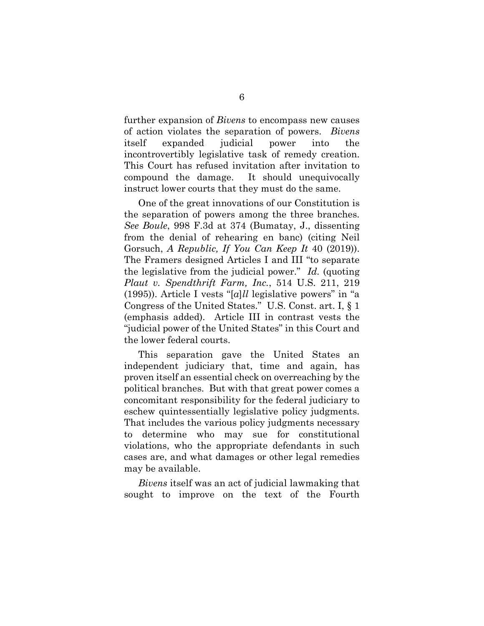further expansion of *Bivens* to encompass new causes of action violates the separation of powers. *Bivens* itself expanded judicial power into the incontrovertibly legislative task of remedy creation. This Court has refused invitation after invitation to compound the damage. It should unequivocally instruct lower courts that they must do the same.

One of the great innovations of our Constitution is the separation of powers among the three branches. *See Boule*, 998 F.3d at 374 (Bumatay, J., dissenting from the denial of rehearing en banc) (citing Neil Gorsuch, *A Republic, If You Can Keep It* 40 (2019)). The Framers designed Articles I and III "to separate the legislative from the judicial power." *Id.* (quoting *Plaut v. Spendthrift Farm, Inc.*, 514 U.S. 211, 219 (1995)). Article I vests "[*a*]*ll* legislative powers" in "a Congress of the United States." U.S. Const. art. I, § 1 (emphasis added). Article III in contrast vests the "judicial power of the United States" in this Court and the lower federal courts.

This separation gave the United States an independent judiciary that, time and again, has proven itself an essential check on overreaching by the political branches. But with that great power comes a concomitant responsibility for the federal judiciary to eschew quintessentially legislative policy judgments. That includes the various policy judgments necessary to determine who may sue for constitutional violations, who the appropriate defendants in such cases are, and what damages or other legal remedies may be available.

*Bivens* itself was an act of judicial lawmaking that sought to improve on the text of the Fourth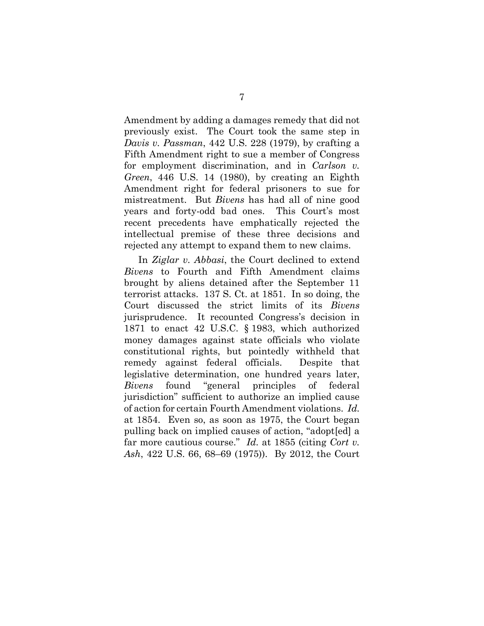Amendment by adding a damages remedy that did not previously exist. The Court took the same step in *Davis v. Passman*, 442 U.S. 228 (1979), by crafting a Fifth Amendment right to sue a member of Congress for employment discrimination, and in *Carlson v. Green*, 446 U.S. 14 (1980), by creating an Eighth Amendment right for federal prisoners to sue for mistreatment. But *Bivens* has had all of nine good years and forty-odd bad ones. This Court's most recent precedents have emphatically rejected the intellectual premise of these three decisions and rejected any attempt to expand them to new claims.

In *Ziglar v. Abbasi*, the Court declined to extend *Bivens* to Fourth and Fifth Amendment claims brought by aliens detained after the September 11 terrorist attacks. 137 S. Ct. at 1851. In so doing, the Court discussed the strict limits of its *Bivens* jurisprudence. It recounted Congress's decision in 1871 to enact 42 U.S.C. § 1983, which authorized money damages against state officials who violate constitutional rights, but pointedly withheld that remedy against federal officials. Despite that legislative determination, one hundred years later, *Bivens* found "general principles of federal jurisdiction" sufficient to authorize an implied cause of action for certain Fourth Amendment violations. *Id.*  at 1854. Even so, as soon as 1975, the Court began pulling back on implied causes of action, "adopt[ed] a far more cautious course." *Id.* at 1855 (citing *Cort v. Ash*, 422 U.S. 66, 68–69 (1975)). By 2012, the Court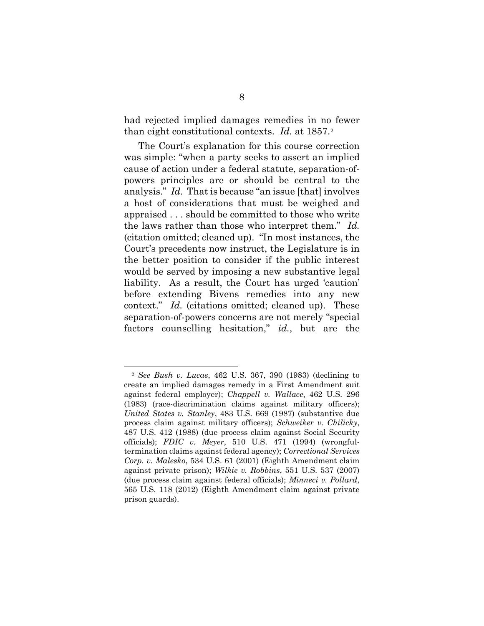had rejected implied damages remedies in no fewer than eight constitutional contexts. *Id.* at 1857.[2](#page-12-0) 

The Court's explanation for this course correction was simple: "when a party seeks to assert an implied cause of action under a federal statute, separation-ofpowers principles are or should be central to the analysis." *Id.* That is because "an issue [that] involves a host of considerations that must be weighed and appraised . . . should be committed to those who write the laws rather than those who interpret them." *Id.* (citation omitted; cleaned up). "In most instances, the Court's precedents now instruct, the Legislature is in the better position to consider if the public interest would be served by imposing a new substantive legal liability. As a result, the Court has urged 'caution' before extending Bivens remedies into any new context." *Id.* (citations omitted; cleaned up). These separation-of-powers concerns are not merely "special factors counselling hesitation," *id.*, but are the

<span id="page-12-0"></span><sup>2</sup> *See Bush v. Lucas*, 462 U.S. 367, 390 (1983) (declining to create an implied damages remedy in a First Amendment suit against federal employer); *Chappell v. Wallace*, 462 U.S. 296 (1983) (race-discrimination claims against military officers); *United States v. Stanley*, 483 U.S. 669 (1987) (substantive due process claim against military officers); *Schweiker v. Chilicky*, 487 U.S. 412 (1988) (due process claim against Social Security officials); *FDIC v. Meyer*, 510 U.S. 471 (1994) (wrongfultermination claims against federal agency); *Correctional Services Corp. v. Malesko*, 534 U.S. 61 (2001) (Eighth Amendment claim against private prison); *Wilkie v. Robbins*, 551 U.S. 537 (2007) (due process claim against federal officials); *Minneci v. Pollard*, 565 U.S. 118 (2012) (Eighth Amendment claim against private prison guards).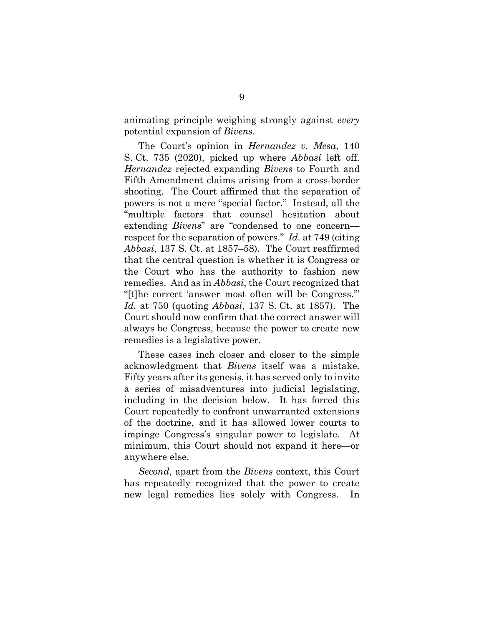animating principle weighing strongly against *every* potential expansion of *Bivens*.

The Court's opinion in *Hernandez v. Mesa*, 140 S. Ct. 735 (2020), picked up where *Abbasi* left off. *Hernandez* rejected expanding *Bivens* to Fourth and Fifth Amendment claims arising from a cross-border shooting. The Court affirmed that the separation of powers is not a mere "special factor." Instead, all the "multiple factors that counsel hesitation about extending *Bivens*" are "condensed to one concern respect for the separation of powers." *Id.* at 749 (citing *Abbasi*, 137 S. Ct. at 1857–58). The Court reaffirmed that the central question is whether it is Congress or the Court who has the authority to fashion new remedies. And as in *Abbasi*, the Court recognized that "[t]he correct 'answer most often will be Congress.'" *Id.* at 750 (quoting *Abbasi*, 137 S. Ct. at 1857). The Court should now confirm that the correct answer will always be Congress, because the power to create new remedies is a legislative power.

These cases inch closer and closer to the simple acknowledgment that *Bivens* itself was a mistake. Fifty years after its genesis, it has served only to invite a series of misadventures into judicial legislating, including in the decision below. It has forced this Court repeatedly to confront unwarranted extensions of the doctrine, and it has allowed lower courts to impinge Congress's singular power to legislate. At minimum, this Court should not expand it here—or anywhere else.

*Second*, apart from the *Bivens* context, this Court has repeatedly recognized that the power to create new legal remedies lies solely with Congress. In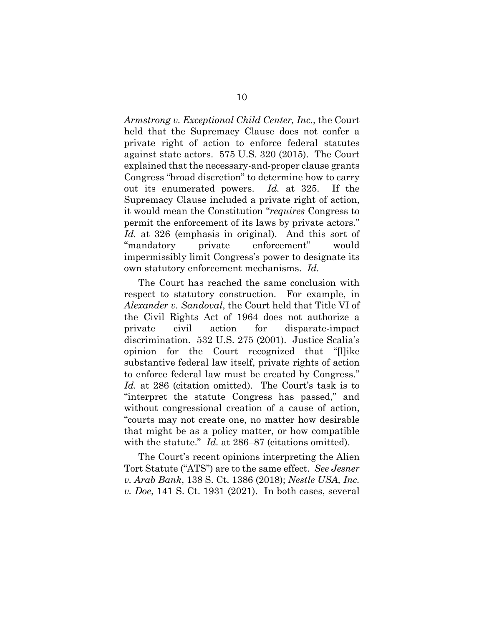*Armstrong v. Exceptional Child Center, Inc.*, the Court held that the Supremacy Clause does not confer a private right of action to enforce federal statutes against state actors. 575 U.S. 320 (2015). The Court explained that the necessary-and-proper clause grants Congress "broad discretion" to determine how to carry out its enumerated powers. *Id.* at 325. If the Supremacy Clause included a private right of action, it would mean the Constitution "*requires* Congress to permit the enforcement of its laws by private actors." *Id.* at 326 (emphasis in original). And this sort of "mandatory private enforcement" would impermissibly limit Congress's power to designate its own statutory enforcement mechanisms. *Id.*

The Court has reached the same conclusion with respect to statutory construction. For example, in *Alexander v. Sandoval*, the Court held that Title VI of the Civil Rights Act of 1964 does not authorize a private civil action for disparate-impact discrimination. 532 U.S. 275 (2001). Justice Scalia's opinion for the Court recognized that "[l]ike substantive federal law itself, private rights of action to enforce federal law must be created by Congress." *Id.* at 286 (citation omitted). The Court's task is to "interpret the statute Congress has passed," and without congressional creation of a cause of action, "courts may not create one, no matter how desirable that might be as a policy matter, or how compatible with the statute." *Id.* at 286–87 (citations omitted).

The Court's recent opinions interpreting the Alien Tort Statute ("ATS") are to the same effect. *See Jesner v. Arab Bank*, 138 S. Ct. 1386 (2018); *Nestle USA, Inc. v. Doe*, 141 S. Ct. 1931 (2021). In both cases, several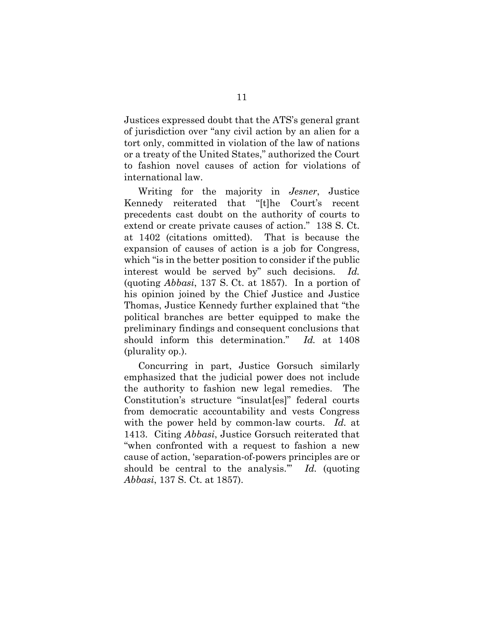Justices expressed doubt that the ATS's general grant of jurisdiction over "any civil action by an alien for a tort only, committed in violation of the law of nations or a treaty of the United States," authorized the Court to fashion novel causes of action for violations of international law.

Writing for the majority in *Jesner*, Justice Kennedy reiterated that "[t]he Court's recent precedents cast doubt on the authority of courts to extend or create private causes of action." 138 S. Ct. at 1402 (citations omitted). That is because the expansion of causes of action is a job for Congress, which "is in the better position to consider if the public interest would be served by" such decisions. *Id.* (quoting *Abbasi*, 137 S. Ct. at 1857). In a portion of his opinion joined by the Chief Justice and Justice Thomas, Justice Kennedy further explained that "the political branches are better equipped to make the preliminary findings and consequent conclusions that should inform this determination." *Id.* at 1408 (plurality op.).

Concurring in part, Justice Gorsuch similarly emphasized that the judicial power does not include the authority to fashion new legal remedies. The Constitution's structure "insulat[es]" federal courts from democratic accountability and vests Congress with the power held by common-law courts. *Id.* at 1413. Citing *Abbasi*, Justice Gorsuch reiterated that "when confronted with a request to fashion a new cause of action, 'separation-of-powers principles are or should be central to the analysis.'" *Id.* (quoting *Abbasi*, 137 S. Ct. at 1857).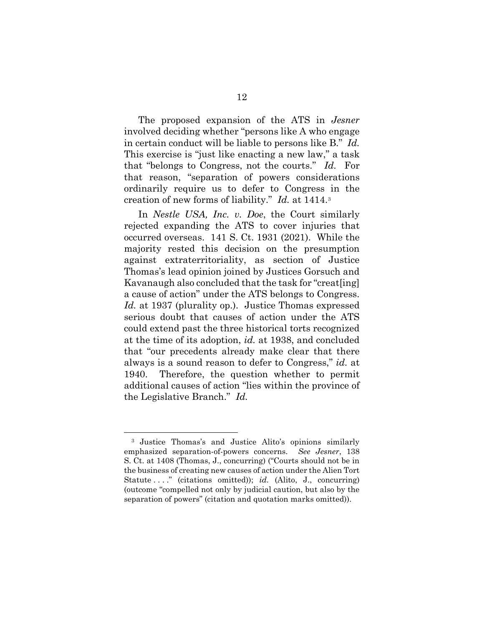The proposed expansion of the ATS in *Jesner*  involved deciding whether "persons like A who engage in certain conduct will be liable to persons like B." *Id.* This exercise is "just like enacting a new law," a task that "belongs to Congress, not the courts." *Id.* For that reason, "separation of powers considerations ordinarily require us to defer to Congress in the creation of new forms of liability." *Id.* at 1414.[3](#page-16-0)

In *Nestle USA, Inc. v. Doe*, the Court similarly rejected expanding the ATS to cover injuries that occurred overseas. 141 S. Ct. 1931 (2021). While the majority rested this decision on the presumption against extraterritoriality, as section of Justice Thomas's lead opinion joined by Justices Gorsuch and Kavanaugh also concluded that the task for "creat[ing] a cause of action" under the ATS belongs to Congress. *Id.* at 1937 (plurality op.). Justice Thomas expressed serious doubt that causes of action under the ATS could extend past the three historical torts recognized at the time of its adoption, *id.* at 1938, and concluded that "our precedents already make clear that there always is a sound reason to defer to Congress," *id.* at 1940. Therefore, the question whether to permit additional causes of action "lies within the province of the Legislative Branch." *Id.*

<span id="page-16-0"></span><sup>3</sup> Justice Thomas's and Justice Alito's opinions similarly emphasized separation-of-powers concerns. *See Jesner*, 138 S. Ct. at 1408 (Thomas, J., concurring) ("Courts should not be in the business of creating new causes of action under the Alien Tort Statute . . . ." (citations omitted)); *id.* (Alito, J., concurring) (outcome "compelled not only by judicial caution, but also by the separation of powers" (citation and quotation marks omitted)).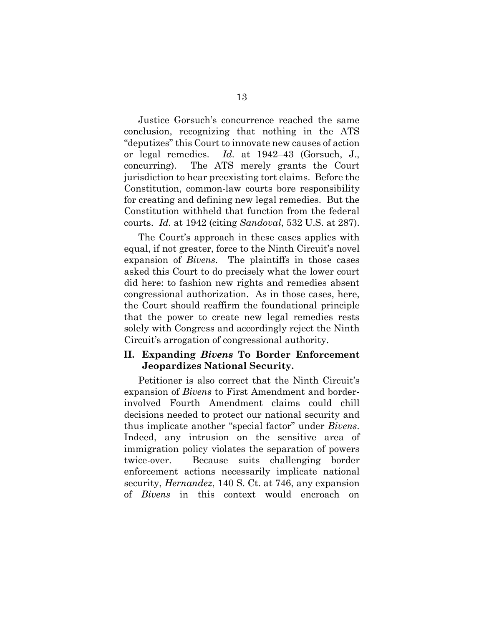Justice Gorsuch's concurrence reached the same conclusion, recognizing that nothing in the ATS "deputizes" this Court to innovate new causes of action or legal remedies. *Id.* at 1942–43 (Gorsuch, J., concurring). The ATS merely grants the Court jurisdiction to hear preexisting tort claims. Before the Constitution, common-law courts bore responsibility for creating and defining new legal remedies. But the Constitution withheld that function from the federal courts. *Id.* at 1942 (citing *Sandoval*, 532 U.S. at 287).

The Court's approach in these cases applies with equal, if not greater, force to the Ninth Circuit's novel expansion of *Bivens*. The plaintiffs in those cases asked this Court to do precisely what the lower court did here: to fashion new rights and remedies absent congressional authorization. As in those cases, here, the Court should reaffirm the foundational principle that the power to create new legal remedies rests solely with Congress and accordingly reject the Ninth Circuit's arrogation of congressional authority.

### **II. Expanding** *Bivens* **To Border Enforcement Jeopardizes National Security.**

Petitioner is also correct that the Ninth Circuit's expansion of *Bivens* to First Amendment and borderinvolved Fourth Amendment claims could chill decisions needed to protect our national security and thus implicate another "special factor" under *Bivens*. Indeed, any intrusion on the sensitive area of immigration policy violates the separation of powers twice-over. Because suits challenging border enforcement actions necessarily implicate national security, *Hernandez*, 140 S. Ct. at 746, any expansion of *Bivens* in this context would encroach on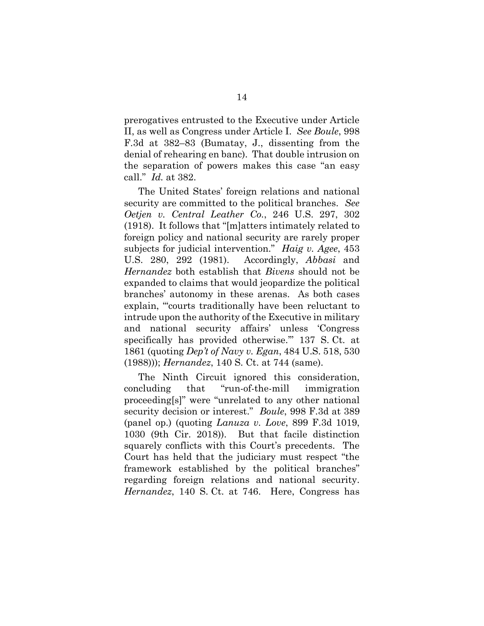prerogatives entrusted to the Executive under Article II, as well as Congress under Article I. *See Boule*, 998 F.3d at 382–83 (Bumatay, J., dissenting from the denial of rehearing en banc). That double intrusion on the separation of powers makes this case "an easy call." *Id.* at 382.

The United States' foreign relations and national security are committed to the political branches. *See Oetjen v. Central Leather Co.*, 246 U.S. 297, 302 (1918). It follows that "[m]atters intimately related to foreign policy and national security are rarely proper subjects for judicial intervention." *Haig v. Agee*, 453 U.S. 280, 292 (1981). Accordingly, *Abbasi* and *Hernandez* both establish that *Bivens* should not be expanded to claims that would jeopardize the political branches' autonomy in these arenas. As both cases explain, "'courts traditionally have been reluctant to intrude upon the authority of the Executive in military and national security affairs' unless 'Congress specifically has provided otherwise.'" 137 S. Ct. at 1861 (quoting *Dep't of Navy v. Egan*, 484 U.S. 518, 530 (1988))); *Hernandez*, 140 S. Ct. at 744 (same).

The Ninth Circuit ignored this consideration, concluding that "run-of-the-mill immigration proceeding[s]" were "unrelated to any other national security decision or interest." *Boule*, 998 F.3d at 389 (panel op.) (quoting *Lanuza v. Love*, 899 F.3d 1019, 1030 (9th Cir. 2018)). But that facile distinction squarely conflicts with this Court's precedents. The Court has held that the judiciary must respect "the framework established by the political branches" regarding foreign relations and national security. *Hernandez*, 140 S. Ct. at 746. Here, Congress has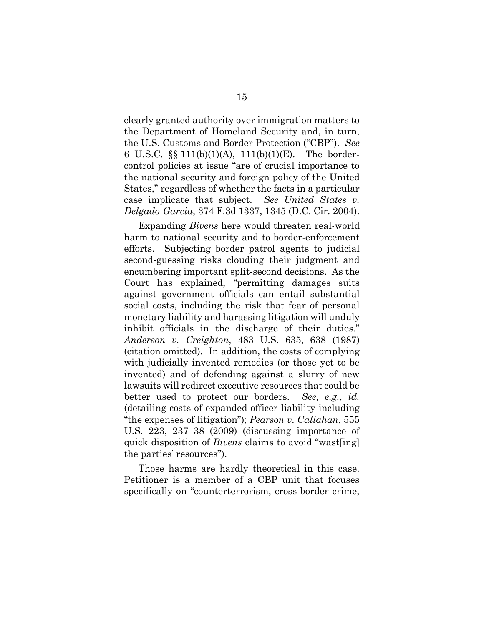clearly granted authority over immigration matters to the Department of Homeland Security and, in turn, the U.S. Customs and Border Protection ("CBP"). *See* 6 U.S.C. §§ 111(b)(1)(A), 111(b)(1)(E). The bordercontrol policies at issue "are of crucial importance to the national security and foreign policy of the United States," regardless of whether the facts in a particular case implicate that subject. *See United States v. Delgado-Garcia*, 374 F.3d 1337, 1345 (D.C. Cir. 2004).

Expanding *Bivens* here would threaten real-world harm to national security and to border-enforcement efforts. Subjecting border patrol agents to judicial second-guessing risks clouding their judgment and encumbering important split-second decisions. As the Court has explained, "permitting damages suits against government officials can entail substantial social costs, including the risk that fear of personal monetary liability and harassing litigation will unduly inhibit officials in the discharge of their duties." *Anderson v. Creighton*, 483 U.S. 635, 638 (1987) (citation omitted). In addition, the costs of complying with judicially invented remedies (or those yet to be invented) and of defending against a slurry of new lawsuits will redirect executive resources that could be better used to protect our borders. *See, e.g.*, *id.* (detailing costs of expanded officer liability including "the expenses of litigation"); *Pearson v. Callahan*, 555 U.S. 223, 237–38 (2009) (discussing importance of quick disposition of *Bivens* claims to avoid "wast[ing] the parties' resources").

Those harms are hardly theoretical in this case. Petitioner is a member of a CBP unit that focuses specifically on "counterterrorism, cross-border crime,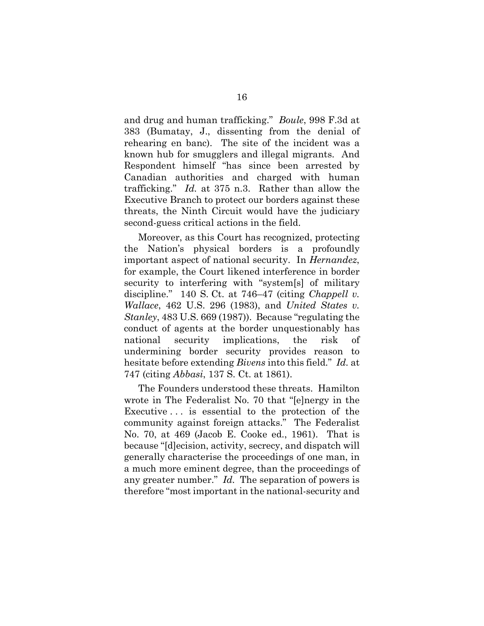and drug and human trafficking." *Boule*, 998 F.3d at 383 (Bumatay, J., dissenting from the denial of rehearing en banc). The site of the incident was a known hub for smugglers and illegal migrants. And Respondent himself "has since been arrested by Canadian authorities and charged with human trafficking." *Id.* at 375 n.3. Rather than allow the Executive Branch to protect our borders against these threats, the Ninth Circuit would have the judiciary second-guess critical actions in the field.

Moreover, as this Court has recognized, protecting the Nation's physical borders is a profoundly important aspect of national security. In *Hernandez*, for example, the Court likened interference in border security to interfering with "system[s] of military discipline." 140 S. Ct. at 746–47 (citing *Chappell v. Wallace*, 462 U.S. 296 (1983), and *United States v. Stanley*, 483 U.S. 669 (1987)). Because "regulating the conduct of agents at the border unquestionably has national security implications, the risk of undermining border security provides reason to hesitate before extending *Bivens* into this field." *Id.* at 747 (citing *Abbasi*, 137 S. Ct. at 1861).

The Founders understood these threats. Hamilton wrote in The Federalist No. 70 that "[e]nergy in the Executive . . . is essential to the protection of the community against foreign attacks." The Federalist No. 70, at 469 (Jacob E. Cooke ed., 1961). That is because "[d]ecision, activity, secrecy, and dispatch will generally characterise the proceedings of one man, in a much more eminent degree, than the proceedings of any greater number." *Id.* The separation of powers is therefore "most important in the national-security and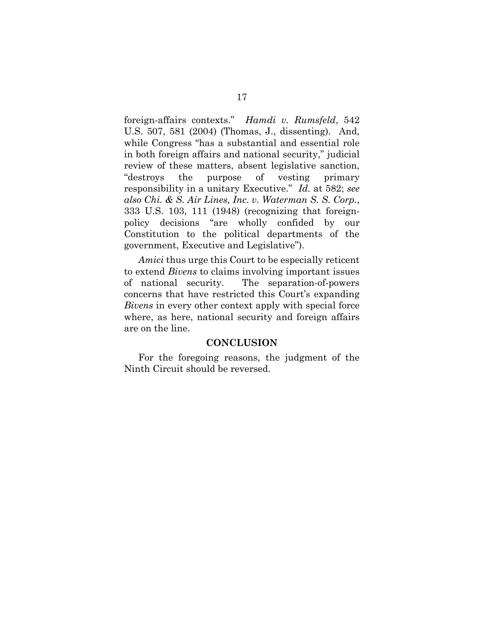foreign-affairs contexts." *Hamdi v. Rumsfeld*, 542 U.S. 507, 581 (2004) (Thomas, J., dissenting). And, while Congress "has a substantial and essential role in both foreign affairs and national security," judicial review of these matters, absent legislative sanction, "destroys the purpose of vesting primary responsibility in a unitary Executive." *Id.* at 582; *see also Chi. & S. Air Lines, Inc. v. Waterman S. S. Corp.*, 333 U.S. 103, 111 (1948) (recognizing that foreignpolicy decisions "are wholly confided by our Constitution to the political departments of the government, Executive and Legislative").

*Amici* thus urge this Court to be especially reticent to extend *Bivens* to claims involving important issues of national security. The separation-of-powers concerns that have restricted this Court's expanding *Bivens* in every other context apply with special force where, as here, national security and foreign affairs are on the line.

### **CONCLUSION**

For the foregoing reasons, the judgment of the Ninth Circuit should be reversed.